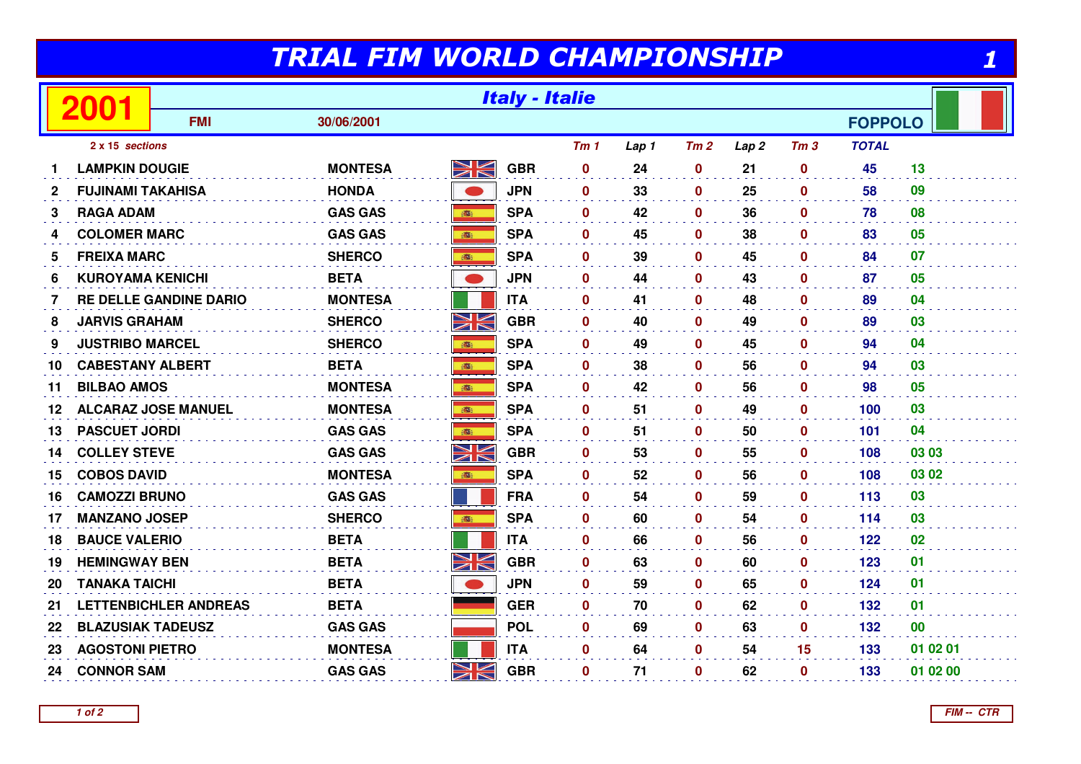## TRIAL FIM WORLD CHAMPIONSHIP

1

|              |                            | <b>Italy - Italie</b>         |                |             |            |                 |       |              |                  |                 |                |          |
|--------------|----------------------------|-------------------------------|----------------|-------------|------------|-----------------|-------|--------------|------------------|-----------------|----------------|----------|
|              |                            | <b>FMI</b>                    | 30/06/2001     |             |            |                 |       |              |                  |                 | <b>FOPPOLO</b> |          |
|              | 2 x 15 sections            |                               |                |             |            | Tm <sub>1</sub> | Lap 1 | Tm2          | Lap <sub>2</sub> | Tm <sub>3</sub> | <b>TOTAL</b>   |          |
|              | <b>LAMPKIN DOUGIE</b>      |                               | <b>MONTESA</b> | XK          | <b>GBR</b> | $\mathbf 0$     | 24    | $\mathbf 0$  | 21               | $\mathbf 0$     | 45             | 13       |
| $\mathbf{2}$ | <b>FUJINAMI TAKAHISA</b>   |                               | <b>HONDA</b>   |             | <b>JPN</b> | $\mathbf 0$     | 33    | $\mathbf 0$  | 25               | $\mathbf 0$     | 58             | 09       |
| 3            | <b>RAGA ADAM</b>           |                               | <b>GAS GAS</b> | <b>BOSS</b> | <b>SPA</b> | $\bf{0}$        | 42    | $\mathbf{0}$ | 36               | $\mathbf{0}$    | 78             | 08       |
| 4            | <b>COLOMER MARC</b>        |                               | <b>GAS GAS</b> | <b>BEE</b>  | <b>SPA</b> | $\mathbf 0$     | 45    | $\mathbf 0$  | 38               | $\mathbf 0$     | 83             | 05       |
| 5            | <b>FREIXA MARC</b>         |                               | <b>SHERCO</b>  | 高           | <b>SPA</b> | $\mathbf{0}$    | 39    | $\mathbf 0$  | 45               | $\mathbf 0$     | 84             | 07       |
| 6            | <b>KUROYAMA KENICHI</b>    |                               | <b>BETA</b>    | <b>CD</b>   | <b>JPN</b> | $\bf{0}$        | 44    | $\mathbf{0}$ | 43               | $\mathbf{0}$    | 87             | 05       |
| 7            |                            | <b>RE DELLE GANDINE DARIO</b> | <b>MONTESA</b> |             | <b>ITA</b> | $\mathbf{0}$    | 41    | $\mathbf 0$  | 48               | $\mathbf{0}$    | 89             | 04       |
| 8            | <b>JARVIS GRAHAM</b>       |                               | <b>SHERCO</b>  | NK          | <b>GBR</b> | $\mathbf 0$     | 40    | $\mathbf 0$  | 49               | $\mathbf 0$     | 89             | 03       |
| 9            | <b>JUSTRIBO MARCEL</b>     |                               | <b>SHERCO</b>  | 高           | <b>SPA</b> | $\mathbf{0}$    | 49    | $\mathbf 0$  | 45               | $\mathbf 0$     | 94             | 04       |
| 10           | <b>CABESTANY ALBERT</b>    |                               | <b>BETA</b>    | 高           | <b>SPA</b> | $\mathbf 0$     | 38    | 0            | 56               | $\mathbf 0$     | 94             | 03       |
| 11           | <b>BILBAO AMOS</b>         |                               | <b>MONTESA</b> | <b>REAL</b> | <b>SPA</b> | $\mathbf 0$     | 42    | $\mathbf 0$  | 56               | $\mathbf 0$     | 98             | 05       |
| 12           | <b>ALCARAZ JOSE MANUEL</b> |                               | <b>MONTESA</b> | 高           | <b>SPA</b> | $\mathbf{0}$    | 51    | $\mathbf 0$  | 49               | $\mathbf 0$     | 100            | 03       |
| 13           | <b>PASCUET JORDI</b>       |                               | <b>GAS GAS</b> | 藤           | <b>SPA</b> | $\bf{0}$        | 51    | $\mathbf{0}$ | 50               | $\mathbf{0}$    | 101            | 04       |
| 14           | <b>COLLEY STEVE</b>        |                               | <b>GAS GAS</b> | XK          | <b>GBR</b> | $\mathbf 0$     | 53    | $\mathbf{0}$ | 55               | $\mathbf{0}$    | 108            | 03 03    |
| 15           | <b>COBOS DAVID</b>         |                               | <b>MONTESA</b> | 高           | <b>SPA</b> | $\mathbf{0}$    | 52    | 0            | 56               | $\mathbf 0$     | 108            | 03 02    |
| 16           | <b>CAMOZZI BRUNO</b>       |                               | <b>GAS GAS</b> |             | <b>FRA</b> | $\mathbf{0}$    | 54    | $\mathbf{0}$ | 59               | $\mathbf{0}$    | 113            | 03       |
| 17           | <b>MANZANO JOSEP</b>       |                               | <b>SHERCO</b>  |             | <b>SPA</b> | $\bf{0}$        | 60    | $\mathbf{0}$ | 54               | $\mathbf{0}$    | 114            | 03       |
| 18           | <b>BAUCE VALERIO</b>       |                               | <b>BETA</b>    |             | <b>ITA</b> | $\mathbf 0$     | 66    | $\mathbf 0$  | 56               | $\mathbf 0$     | 122            | 02       |
| 19           | <b>HEMINGWAY BEN</b>       |                               | <b>BETA</b>    | XK          | <b>GBR</b> | $\mathbf{0}$    | 63    | $\mathbf 0$  | 60               | $\mathbf 0$     | 123            | 01       |
| 20           | <b>TANAKA TAICHI</b>       |                               | <b>BETA</b>    |             | <b>JPN</b> | $\mathbf 0$     | 59    | $\mathbf{0}$ | 65               | $\mathbf{0}$    | 124            | 01       |
| 21           |                            | <b>LETTENBICHLER ANDREAS</b>  | <b>BETA</b>    |             | <b>GER</b> | $\mathbf 0$     | 70    | $\mathbf 0$  | 62               | $\mathbf 0$     | 132            | 01       |
| 22           | <b>BLAZUSIAK TADEUSZ</b>   |                               | <b>GAS GAS</b> |             | <b>POL</b> | $\mathbf 0$     | 69    | $\mathbf 0$  | 63               | $\mathbf 0$     | 132            | 00       |
| 23           | <b>AGOSTONI PIETRO</b>     |                               | <b>MONTESA</b> |             | <b>ITA</b> | $\mathbf{0}$    | 64    | $\mathbf{0}$ | 54               | 15              | 133            | 01 02 01 |
| 24           | <b>CONNOR SAM</b>          |                               | <b>GAS GAS</b> | NK          | <b>GBR</b> | $\bf{0}$        | 71    | $\mathbf 0$  | 62               | $\mathbf 0$     | 133            | 01 02 00 |